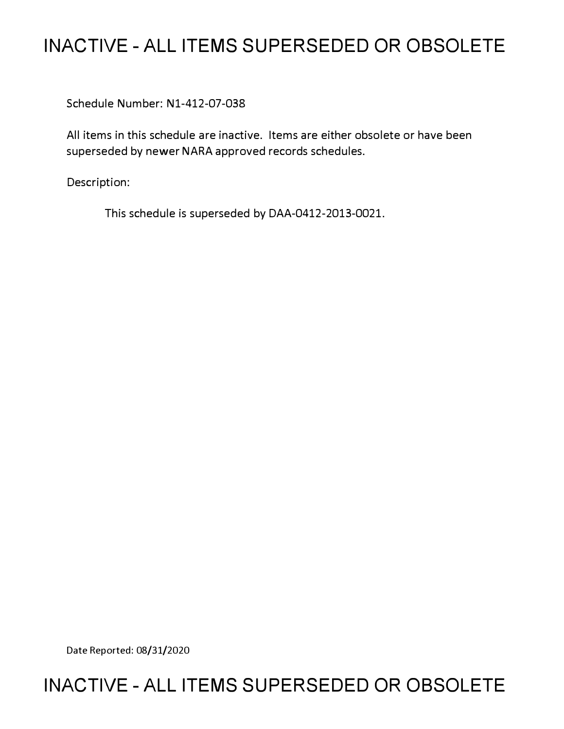## **INACTIVE - ALL ITEMS SUPERSEDED OR OBSOLETE**

Schedule Number: Nl-412-07-038

All items in this schedule are inactive. Items are either obsolete or have been superseded by newer NARA approved records schedules.

Description:

This schedule is superseded by DAA-0412-2013-0021.

Date Reported: 08/31/2020

## **INACTIVE - ALL ITEMS SUPERSEDED OR OBSOLETE**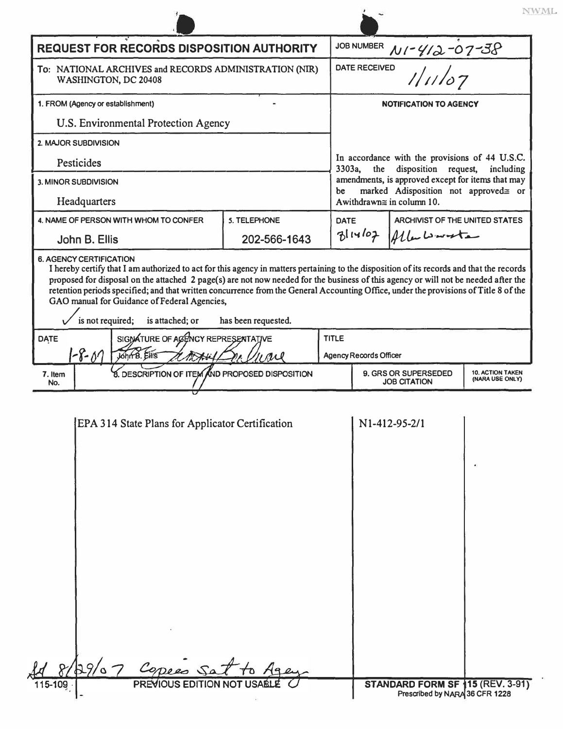|                                                                                                                                                                 |                                                  |              |  |                                                                                                                                                                                                            |                                   |                                                                    | NWML.                                      |  |
|-----------------------------------------------------------------------------------------------------------------------------------------------------------------|--------------------------------------------------|--------------|--|------------------------------------------------------------------------------------------------------------------------------------------------------------------------------------------------------------|-----------------------------------|--------------------------------------------------------------------|--------------------------------------------|--|
| <b>REQUEST FOR RECORDS DISPOSITION AUTHORITY</b>                                                                                                                |                                                  |              |  |                                                                                                                                                                                                            | <b>JOB NUMBER</b><br>NI-412-07-38 |                                                                    |                                            |  |
| To: NATIONAL ARCHIVES and RECORDS ADMINISTRATION (NIR)<br>WASHINGTON, DC 20408                                                                                  |                                                  |              |  | <b>DATE RECEIVED</b><br>111107                                                                                                                                                                             |                                   |                                                                    |                                            |  |
| 1. FROM (Agency or establishment)                                                                                                                               |                                                  |              |  | <b>NOTIFICATION TO AGENCY</b>                                                                                                                                                                              |                                   |                                                                    |                                            |  |
| U.S. Environmental Protection Agency                                                                                                                            |                                                  |              |  |                                                                                                                                                                                                            |                                   |                                                                    |                                            |  |
| 2. MAJOR SUBDIVISION                                                                                                                                            |                                                  |              |  |                                                                                                                                                                                                            |                                   |                                                                    |                                            |  |
| Pesticides                                                                                                                                                      |                                                  |              |  | In accordance with the provisions of 44 U.S.C.<br>disposition<br>3303a,<br>the<br>request,<br>including<br>amendments, is approved except for items that may<br>marked Adisposition not approved= or<br>be |                                   |                                                                    |                                            |  |
| 3. MINOR SUBDIVISION                                                                                                                                            |                                                  |              |  |                                                                                                                                                                                                            |                                   |                                                                    |                                            |  |
| Headquarters                                                                                                                                                    |                                                  |              |  |                                                                                                                                                                                                            |                                   | Awithdrawn $\cong$ in column 10.                                   |                                            |  |
|                                                                                                                                                                 | 4. NAME OF PERSON WITH WHOM TO CONFER            | 5. TELEPHONE |  | <b>DATE</b>                                                                                                                                                                                                |                                   | ARCHIVIST OF THE UNITED STATES                                     |                                            |  |
| John B. Ellis                                                                                                                                                   |                                                  | 202-566-1643 |  | $B$ liyloz                                                                                                                                                                                                 |                                   | Alberta                                                            |                                            |  |
| GAO manual for Guidance of Federal Agencies,<br>is not required;<br>is attached; or<br>has been requested.<br>SIGNATURE OF AGENCY REPRESENTATIVE<br><b>DATE</b> |                                                  |              |  | <b>TITLE</b>                                                                                                                                                                                               |                                   |                                                                    |                                            |  |
| 1-8-07                                                                                                                                                          | John B. EHIS<br>ave                              |              |  |                                                                                                                                                                                                            | <b>Agency Records Officer</b>     |                                                                    |                                            |  |
| 7. Item<br>No.                                                                                                                                                  | 8. DESCRIPTION OF ITEM AND PROPOSED DISPOSITION  |              |  |                                                                                                                                                                                                            |                                   | 9. GRS OR SUPERSEDED<br><b>JOB CITATION</b>                        | <b>10. ACTION TAKEN</b><br>(NARA USE ONLY) |  |
|                                                                                                                                                                 | EPA 314 State Plans for Applicator Certification |              |  |                                                                                                                                                                                                            |                                   | N1-412-95-2/1                                                      |                                            |  |
| 115-109                                                                                                                                                         | 29/07 Copees Sat<br>PREVIOUS EDITION NOT US      |              |  |                                                                                                                                                                                                            |                                   | STANDARD FORM SF 115 (REV. 3-91)<br>Prescribed by NARA 36 CFR 1228 |                                            |  |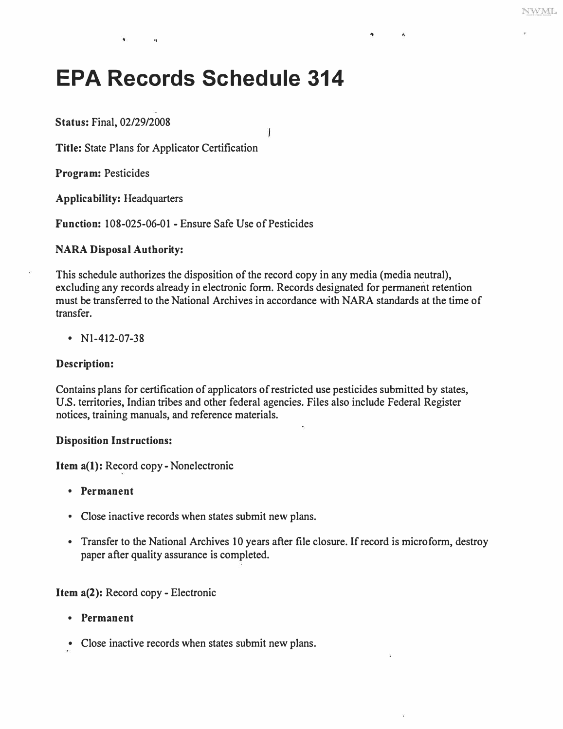Ä

# **EPA Records Schedule 314**

**Status:** Final, 02/29/2008

**Title:** State Plans for Applicator Certification

,,

**Program:** Pesticides

**Applicability:** Headquarters

**Function:** 108-025-06-01 - Ensure Safe Use of Pesticides

### **NARA Disposal Authority:**

This schedule authorizes the disposition of the record copy in any media (media neutral), excluding any records already in electronic form. Records designated for permanent retention must be transferred to the National Archives in accordance with NARA standards at the time of transfer.

Ï

•  $N1-412-07-38$ 

#### **Description:**

Contains plans for certification of applicators of restricted use pesticides submitted by states, U.S. territories, Indian tribes and other federal agencies. Files also include Federal Register notices, training manuals, and reference materials.

#### **Disposition Instructions:**

**Item a(l):** Record copy- Nonelectronic

- **Permanent**
- Close inactive records when states submit new plans.
- Transfer to the National Archives 10 years after file closure. If record is microform, destroy paper after quality assurance is completed.

**Item a(2):** Record copy - Electronic

- **Permanent**
- Close inactive records when states submit new plans.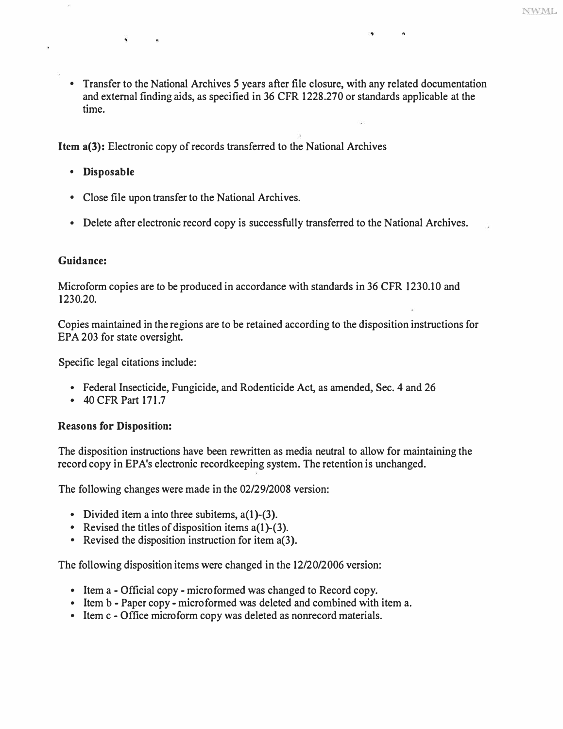• Transfer to the National Archives *5* years after file closure, with any related documentation time. and external finding aids, as specified in 36 CFR 1228.270 or standards applicable at the

"

**Item a(3):** Electronic copy of records transferred to the National Archives

**• Disposable** 

 $\overline{\phantom{a}}$ 

 $\alpha$ 

- Close file upon transfer to the National Archives.
- Delete after electronic record copy is successfully transferred to the National Archives.

#### **Guidance:**

Micro form copies are to be produced in accordance with standards in 36 CFR 1230.10 and 1230.20.

Copies maintained in the regions are to be retained according to the disposition instructions for EPA 203 for state oversight.

Specific legal citations include:

- Federal Insecticide, Fungicide, and Rodenticide Act, as amended, Sec. 4 and 26 40 CFR Part 171.7
- 

#### **Reasons for Disposition:**

The disposition instructions have been rewritten as media neutral to allow for maintaining the record copy in EPA's electronic recordkeeping system. The retention is unchanged.

The following changes were made in the 02/29/2008 version:

- 
- Divided item a into three subitems,  $a(1)-(3)$ .<br>• Revised the titles of disposition items  $a(1)-(3)$ .<br>• Revised the disposition instruction for item  $a(3)$ .
- 

The following disposition items were changed in the 12/20/2006 version:

- 
- Item a Official copy microformed was changed to Record copy.<br>• Item b Paper copy microformed was deleted and combined with item a.<br>• Item c Office microform copy was deleted as nonrecord materials.
-